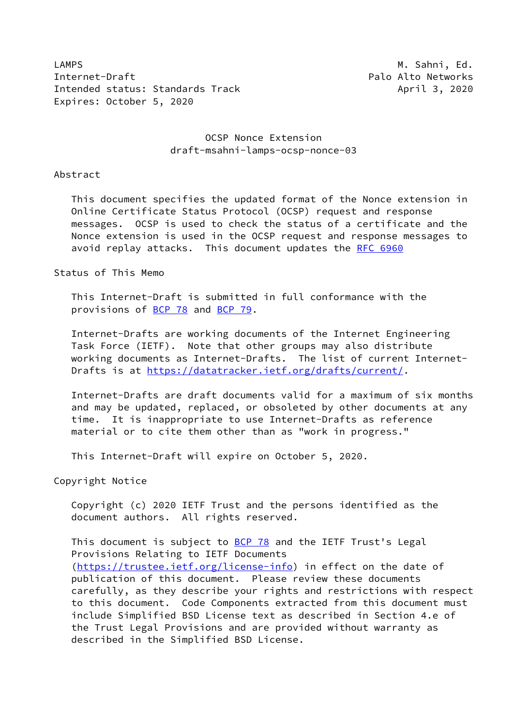LAMPS **M. Sahni, Ed.** And The Manual Control of the Manual Control of Manual Control of Manual Control of Manual Control of Manual Control of Manual Control of Manual Control of Manual Control of Manual Control of Manual C Internet-Draft **Palo Alto Networks** Palo Alto Networks Intended status: Standards Track April 3, 2020 Expires: October 5, 2020

## OCSP Nonce Extension draft-msahni-lamps-ocsp-nonce-03

Abstract

 This document specifies the updated format of the Nonce extension in Online Certificate Status Protocol (OCSP) request and response messages. OCSP is used to check the status of a certificate and the Nonce extension is used in the OCSP request and response messages to avoid replay attacks. This document updates the [RFC 6960](https://datatracker.ietf.org/doc/pdf/rfc6960)

Status of This Memo

 This Internet-Draft is submitted in full conformance with the provisions of [BCP 78](https://datatracker.ietf.org/doc/pdf/bcp78) and [BCP 79](https://datatracker.ietf.org/doc/pdf/bcp79).

 Internet-Drafts are working documents of the Internet Engineering Task Force (IETF). Note that other groups may also distribute working documents as Internet-Drafts. The list of current Internet- Drafts is at<https://datatracker.ietf.org/drafts/current/>.

 Internet-Drafts are draft documents valid for a maximum of six months and may be updated, replaced, or obsoleted by other documents at any time. It is inappropriate to use Internet-Drafts as reference material or to cite them other than as "work in progress."

This Internet-Draft will expire on October 5, 2020.

Copyright Notice

 Copyright (c) 2020 IETF Trust and the persons identified as the document authors. All rights reserved.

This document is subject to **[BCP 78](https://datatracker.ietf.org/doc/pdf/bcp78)** and the IETF Trust's Legal Provisions Relating to IETF Documents [\(https://trustee.ietf.org/license-info](https://trustee.ietf.org/license-info)) in effect on the date of publication of this document. Please review these documents carefully, as they describe your rights and restrictions with respect to this document. Code Components extracted from this document must include Simplified BSD License text as described in Section 4.e of the Trust Legal Provisions and are provided without warranty as described in the Simplified BSD License.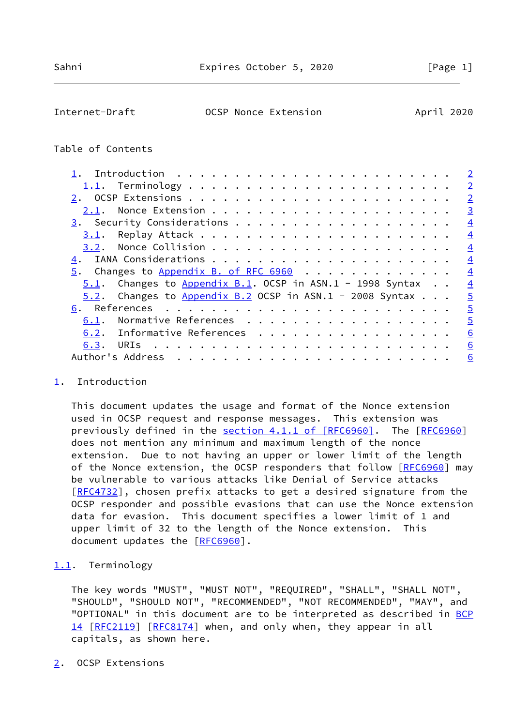<span id="page-1-1"></span>

| Internet-Draft | OCSP Nonce Extension | April 2020 |  |
|----------------|----------------------|------------|--|
|                |                      |            |  |

## Table of Contents

|                                                              |  | $\overline{2}$ |
|--------------------------------------------------------------|--|----------------|
|                                                              |  | $\overline{2}$ |
|                                                              |  | $\overline{2}$ |
|                                                              |  | $\overline{3}$ |
|                                                              |  | $\overline{4}$ |
|                                                              |  | $\overline{4}$ |
|                                                              |  | $\overline{4}$ |
|                                                              |  | $\overline{4}$ |
| 5. Changes to Appendix B. of RFC 6960                        |  | $\overline{4}$ |
| $5.1$ . Changes to Appendix B.1. OCSP in ASN.1 - 1998 Syntax |  | $\overline{4}$ |
| $5.2$ . Changes to Appendix B.2 OCSP in ASN.1 - 2008 Syntax  |  | $\overline{5}$ |
|                                                              |  | $\overline{5}$ |
| Normative References<br>6.1.                                 |  | $\overline{5}$ |
| 6.2. Informative References                                  |  | 6              |
|                                                              |  | 6              |
|                                                              |  | 6              |

### <span id="page-1-0"></span>[1](#page-1-0). Introduction

 This document updates the usage and format of the Nonce extension used in OCSP request and response messages. This extension was previously defined in the section [4.1.1 of \[RFC6960\].](https://datatracker.ietf.org/doc/pdf/rfc6960#section-4.1.1) The [[RFC6960\]](https://datatracker.ietf.org/doc/pdf/rfc6960) does not mention any minimum and maximum length of the nonce extension. Due to not having an upper or lower limit of the length of the Nonce extension, the OCSP responders that follow [\[RFC6960](https://datatracker.ietf.org/doc/pdf/rfc6960)] may be vulnerable to various attacks like Denial of Service attacks [\[RFC4732](https://datatracker.ietf.org/doc/pdf/rfc4732)], chosen prefix attacks to get a desired signature from the OCSP responder and possible evasions that can use the Nonce extension data for evasion. This document specifies a lower limit of 1 and upper limit of 32 to the length of the Nonce extension. This document updates the [\[RFC6960](https://datatracker.ietf.org/doc/pdf/rfc6960)].

#### <span id="page-1-2"></span>[1.1](#page-1-2). Terminology

 The key words "MUST", "MUST NOT", "REQUIRED", "SHALL", "SHALL NOT", "SHOULD", "SHOULD NOT", "RECOMMENDED", "NOT RECOMMENDED", "MAY", and "OPTIONAL" in this document are to be interpreted as described in [BCP](https://datatracker.ietf.org/doc/pdf/bcp14) [14](https://datatracker.ietf.org/doc/pdf/bcp14) [[RFC2119\]](https://datatracker.ietf.org/doc/pdf/rfc2119) [\[RFC8174](https://datatracker.ietf.org/doc/pdf/rfc8174)] when, and only when, they appear in all capitals, as shown here.

#### <span id="page-1-3"></span>[2](#page-1-3). OCSP Extensions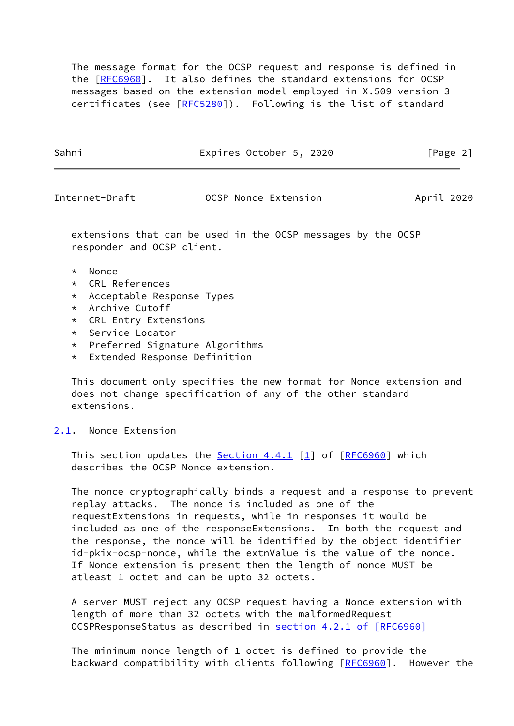The message format for the OCSP request and response is defined in the [\[RFC6960](https://datatracker.ietf.org/doc/pdf/rfc6960)]. It also defines the standard extensions for OCSP messages based on the extension model employed in X.509 version 3 certificates (see [[RFC5280](https://datatracker.ietf.org/doc/pdf/rfc5280)]). Following is the list of standard

Sahni Expires October 5, 2020 [Page 2]

<span id="page-2-1"></span>Internet-Draft OCSP Nonce Extension April 2020

 extensions that can be used in the OCSP messages by the OCSP responder and OCSP client.

- \* Nonce
- \* CRL References
- \* Acceptable Response Types
- \* Archive Cutoff
- \* CRL Entry Extensions
- \* Service Locator
- \* Preferred Signature Algorithms
- \* Extended Response Definition

 This document only specifies the new format for Nonce extension and does not change specification of any of the other standard extensions.

<span id="page-2-0"></span>[2.1](#page-2-0). Nonce Extension

This section updates the Section 4.4.1  $[1]$  $[1]$  of  $[REC6960]$  which describes the OCSP Nonce extension.

 The nonce cryptographically binds a request and a response to prevent replay attacks. The nonce is included as one of the requestExtensions in requests, while in responses it would be included as one of the responseExtensions. In both the request and the response, the nonce will be identified by the object identifier id-pkix-ocsp-nonce, while the extnValue is the value of the nonce. If Nonce extension is present then the length of nonce MUST be atleast 1 octet and can be upto 32 octets.

 A server MUST reject any OCSP request having a Nonce extension with length of more than 32 octets with the malformedRequest OCSPResponseStatus as described in section [4.2.1 of \[RFC6960\]](https://datatracker.ietf.org/doc/pdf/rfc6960#section-4.2.1)

 The minimum nonce length of 1 octet is defined to provide the backward compatibility with clients following [[RFC6960](https://datatracker.ietf.org/doc/pdf/rfc6960)]. However the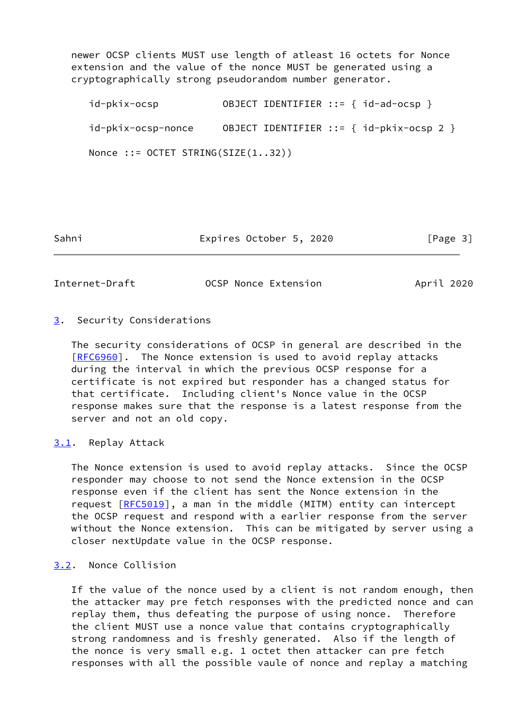newer OCSP clients MUST use length of atleast 16 octets for Nonce extension and the value of the nonce MUST be generated using a cryptographically strong pseudorandom number generator.

 id-pkix-ocsp OBJECT IDENTIFIER ::= { id-ad-ocsp } id-pkix-ocsp-nonce OBJECT IDENTIFIER ::= { id-pkix-ocsp 2 } Nonce ::= OCTET STRING(SIZE(1..32))

Sahni Expires October 5, 2020 [Page 3]

<span id="page-3-1"></span>Internet-Draft OCSP Nonce Extension April 2020

## <span id="page-3-0"></span>[3](#page-3-0). Security Considerations

 The security considerations of OCSP in general are described in the [\[RFC6960](https://datatracker.ietf.org/doc/pdf/rfc6960)]. The Nonce extension is used to avoid replay attacks during the interval in which the previous OCSP response for a certificate is not expired but responder has a changed status for that certificate. Including client's Nonce value in the OCSP response makes sure that the response is a latest response from the server and not an old copy.

# <span id="page-3-2"></span>[3.1](#page-3-2). Replay Attack

 The Nonce extension is used to avoid replay attacks. Since the OCSP responder may choose to not send the Nonce extension in the OCSP response even if the client has sent the Nonce extension in the request [\[RFC5019](https://datatracker.ietf.org/doc/pdf/rfc5019)], a man in the middle (MITM) entity can intercept the OCSP request and respond with a earlier response from the server without the Nonce extension. This can be mitigated by server using a closer nextUpdate value in the OCSP response.

## <span id="page-3-3"></span>[3.2](#page-3-3). Nonce Collision

 If the value of the nonce used by a client is not random enough, then the attacker may pre fetch responses with the predicted nonce and can replay them, thus defeating the purpose of using nonce. Therefore the client MUST use a nonce value that contains cryptographically strong randomness and is freshly generated. Also if the length of the nonce is very small e.g. 1 octet then attacker can pre fetch responses with all the possible vaule of nonce and replay a matching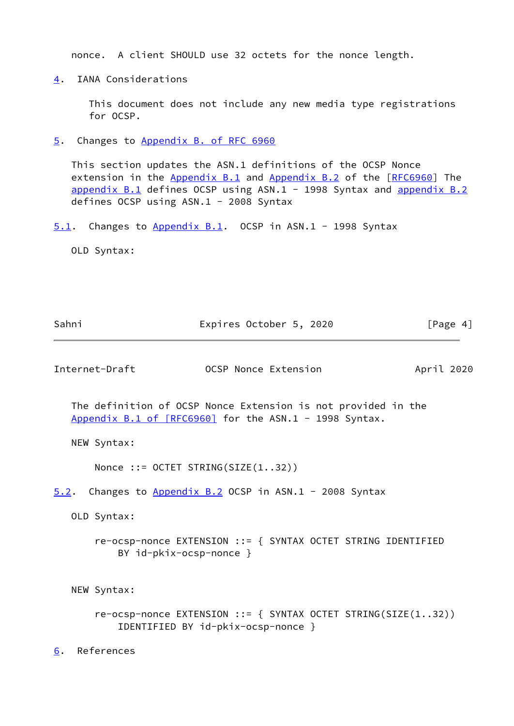nonce. A client SHOULD use 32 octets for the nonce length.

<span id="page-4-0"></span>[4](#page-4-0). IANA Considerations

 This document does not include any new media type registrations for OCSP.

<span id="page-4-1"></span>[5](#page-4-1). Changes to Appendix [B. of RFC 6960](https://datatracker.ietf.org/doc/pdf/rfc6960#appendix-B)

 This section updates the ASN.1 definitions of the OCSP Nonce extension in the Appendix B.1 and Appendix B.2 of the [[RFC6960](https://datatracker.ietf.org/doc/pdf/rfc6960)] The appendix B.1 defines OCSP using ASN.1 - 1998 Syntax and appendix B.2 defines OCSP using ASN.1 - 2008 Syntax

<span id="page-4-2"></span>[5.1](#page-4-2). Changes to Appendix B.1. OCSP in ASN.1 - 1998 Syntax

OLD Syntax:

<span id="page-4-5"></span><span id="page-4-4"></span><span id="page-4-3"></span>

| Sahni            | Expires October 5, 2020                                                                                                 | [Page 4]   |
|------------------|-------------------------------------------------------------------------------------------------------------------------|------------|
| Internet-Draft   | OCSP Nonce Extension                                                                                                    | April 2020 |
|                  | The definition of OCSP Nonce Extension is not provided in the<br>Appendix B.1 of [RFC6960] for the ASN.1 - 1998 Syntax. |            |
| NEW Syntax:      |                                                                                                                         |            |
|                  | Nonce ::= OCTET STRING(SIZE $(132)$ )                                                                                   |            |
|                  | 5.2. Changes to Appendix B.2 OCSP in ASN.1 - 2008 Syntax                                                                |            |
| OLD Syntax:      |                                                                                                                         |            |
|                  | re-ocsp-nonce EXTENSION ::= { SYNTAX OCTET STRING IDENTIFIED<br>BY $id-pkix-ccsp-nonce$ }                               |            |
| NEW Syntax:      |                                                                                                                         |            |
|                  | $re-ocsp-nonce$ EXTENSION ::= { SYNTAX OCTET STRING(SIZE(132))<br>IDENTIFIED BY id-pkix-ocsp-nonce }                    |            |
| References<br>6. |                                                                                                                         |            |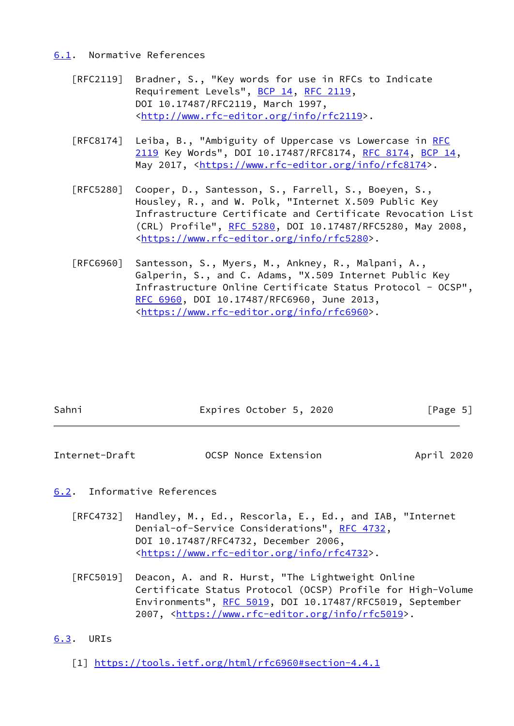#### <span id="page-5-0"></span>[6.1](#page-5-0). Normative References

- [RFC2119] Bradner, S., "Key words for use in RFCs to Indicate Requirement Levels", [BCP 14](https://datatracker.ietf.org/doc/pdf/bcp14), [RFC 2119](https://datatracker.ietf.org/doc/pdf/rfc2119), DOI 10.17487/RFC2119, March 1997, <<http://www.rfc-editor.org/info/rfc2119>>.
- [RFC8174] Leiba, B., "Ambiguity of Uppercase vs Lowercase in [RFC](https://datatracker.ietf.org/doc/pdf/rfc2119) [2119](https://datatracker.ietf.org/doc/pdf/rfc2119) Key Words", DOI 10.17487/RFC8174, [RFC 8174](https://datatracker.ietf.org/doc/pdf/rfc8174), [BCP 14](https://datatracker.ietf.org/doc/pdf/bcp14), May 2017, [<https://www.rfc-editor.org/info/rfc8174](https://www.rfc-editor.org/info/rfc8174)>.
- [RFC5280] Cooper, D., Santesson, S., Farrell, S., Boeyen, S., Housley, R., and W. Polk, "Internet X.509 Public Key Infrastructure Certificate and Certificate Revocation List (CRL) Profile", [RFC 5280,](https://datatracker.ietf.org/doc/pdf/rfc5280) DOI 10.17487/RFC5280, May 2008, <[https://www.rfc-editor.org/info/rfc5280>](https://www.rfc-editor.org/info/rfc5280).
- [RFC6960] Santesson, S., Myers, M., Ankney, R., Malpani, A., Galperin, S., and C. Adams, "X.509 Internet Public Key Infrastructure Online Certificate Status Protocol - OCSP", [RFC 6960,](https://datatracker.ietf.org/doc/pdf/rfc6960) DOI 10.17487/RFC6960, June 2013, <[https://www.rfc-editor.org/info/rfc6960>](https://www.rfc-editor.org/info/rfc6960).

| Sahni | Expires October 5, 2020 | [Page 5] |
|-------|-------------------------|----------|
|       |                         |          |

<span id="page-5-2"></span>Internet-Draft OCSP Nonce Extension April 2020

# <span id="page-5-1"></span>[6.2](#page-5-1). Informative References

- [RFC4732] Handley, M., Ed., Rescorla, E., Ed., and IAB, "Internet Denial-of-Service Considerations", [RFC 4732](https://datatracker.ietf.org/doc/pdf/rfc4732), DOI 10.17487/RFC4732, December 2006, <[https://www.rfc-editor.org/info/rfc4732>](https://www.rfc-editor.org/info/rfc4732).
- [RFC5019] Deacon, A. and R. Hurst, "The Lightweight Online Certificate Status Protocol (OCSP) Profile for High-Volume Environments", [RFC 5019](https://datatracker.ietf.org/doc/pdf/rfc5019), DOI 10.17487/RFC5019, September 2007, [<https://www.rfc-editor.org/info/rfc5019](https://www.rfc-editor.org/info/rfc5019)>.

# <span id="page-5-3"></span>[6.3](#page-5-3). URIs

<span id="page-5-4"></span>[1] <https://tools.ietf.org/html/rfc6960#section-4.4.1>